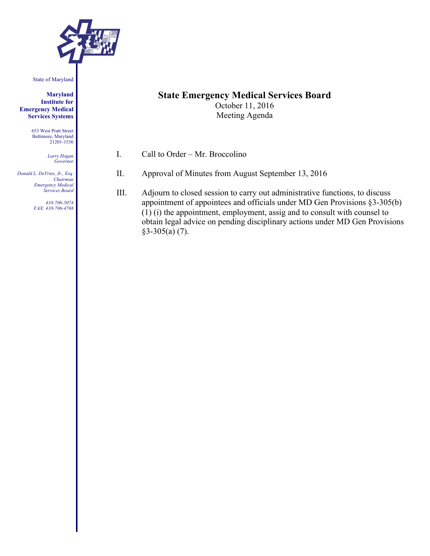

State of Maryland

**Maryland Institute for Emergency Medical Services Systems**

> 653 West Pratt Street Baltimore, Maryland 21201-1536

> > *Larry Hogan Governor*

*Donald L. DeVries, Jr., Esq. Chairman Emergency Medical Services Board*

> *410-706-5074 FAX: 410-706-4768*

## **State Emergency Medical Services Board**

October 11, 2016 Meeting Agenda

- I. Call to Order Mr. Broccolino
- II. Approval of Minutes from August September 13, 2016
- III. Adjourn to closed session to carry out administrative functions, to discuss appointment of appointees and officials under MD Gen Provisions §3-305(b) (1) (i) the appointment, employment, assig and to consult with counsel to obtain legal advice on pending disciplinary actions under MD Gen Provisions §3-305(a) (7).